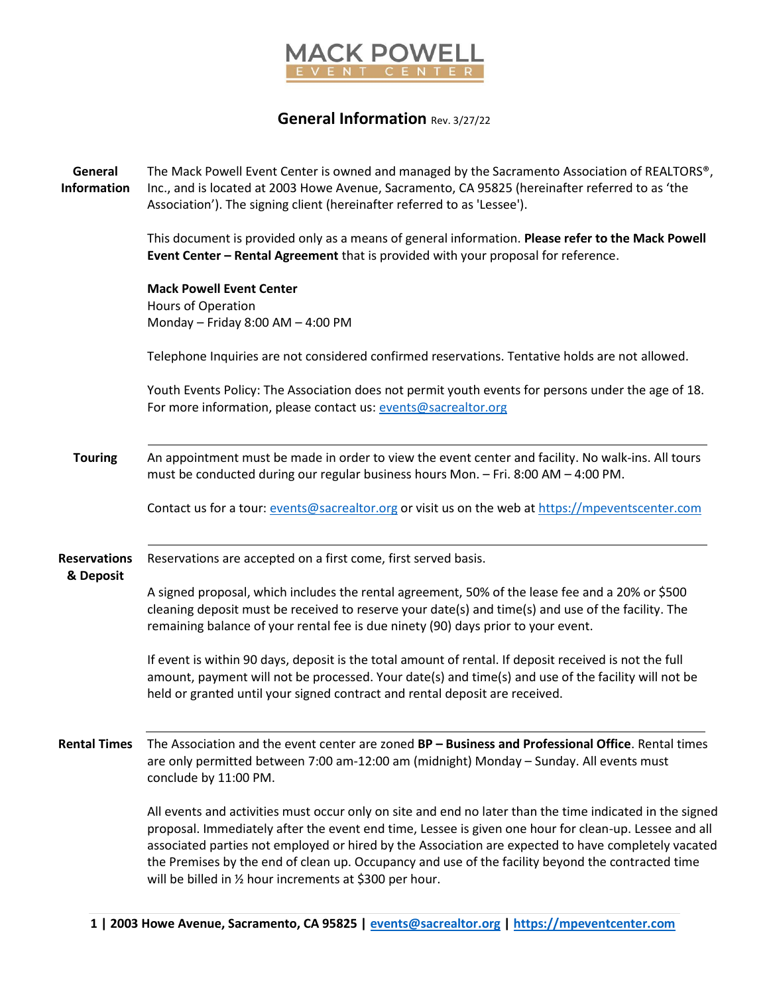

## **General Information** Rev. 3/27/22

**General Information** The Mack Powell Event Center is owned and managed by the Sacramento Association of REALTORS®, Inc., and is located at 2003 Howe Avenue, Sacramento, CA 95825 (hereinafter referred to as 'the Association'). The signing client (hereinafter referred to as 'Lessee'). This document is provided only as a means of general information. **Please refer to the Mack Powell Event Center – Rental Agreement** that is provided with your proposal for reference. **Mack Powell Event Center** Hours of Operation Monday – Friday 8:00 AM – 4:00 PM Telephone Inquiries are not considered confirmed reservations. Tentative holds are not allowed. Youth Events Policy: The Association does not permit youth events for persons under the age of 18. For more information, please contact us: [events@sacrealtor.org](mailto:events@sacrealtor.org) **Touring** An appointment must be made in order to view the event center and facility. No walk-ins. All tours must be conducted during our regular business hours Mon. – Fri. 8:00 AM – 4:00 PM. Contact us for a tour: [events@sacrealtor.org](mailto:events@sacrealtor.org) or visit us on the web at [https://mpeventscenter.com](https://mpeventscenter.com/) **Reservations & Deposit** Reservations are accepted on a first come, first served basis. A signed proposal, which includes the rental agreement, 50% of the lease fee and a 20% or \$500 cleaning deposit must be received to reserve your date(s) and time(s) and use of the facility. The remaining balance of your rental fee is due ninety (90) days prior to your event. If event is within 90 days, deposit is the total amount of rental. If deposit received is not the full amount, payment will not be processed. Your date(s) and time(s) and use of the facility will not be held or granted until your signed contract and rental deposit are received. **Rental Times** The Association and the event center are zoned **BP – Business and Professional Office**. Rental times are only permitted between 7:00 am-12:00 am (midnight) Monday – Sunday. All events must conclude by 11:00 PM. All events and activities must occur only on site and end no later than the time indicated in the signed proposal. Immediately after the event end time, Lessee is given one hour for clean-up. Lessee and all associated parties not employed or hired by the Association are expected to have completely vacated the Premises by the end of clean up. Occupancy and use of the facility beyond the contracted time will be billed in ½ hour increments at \$300 per hour.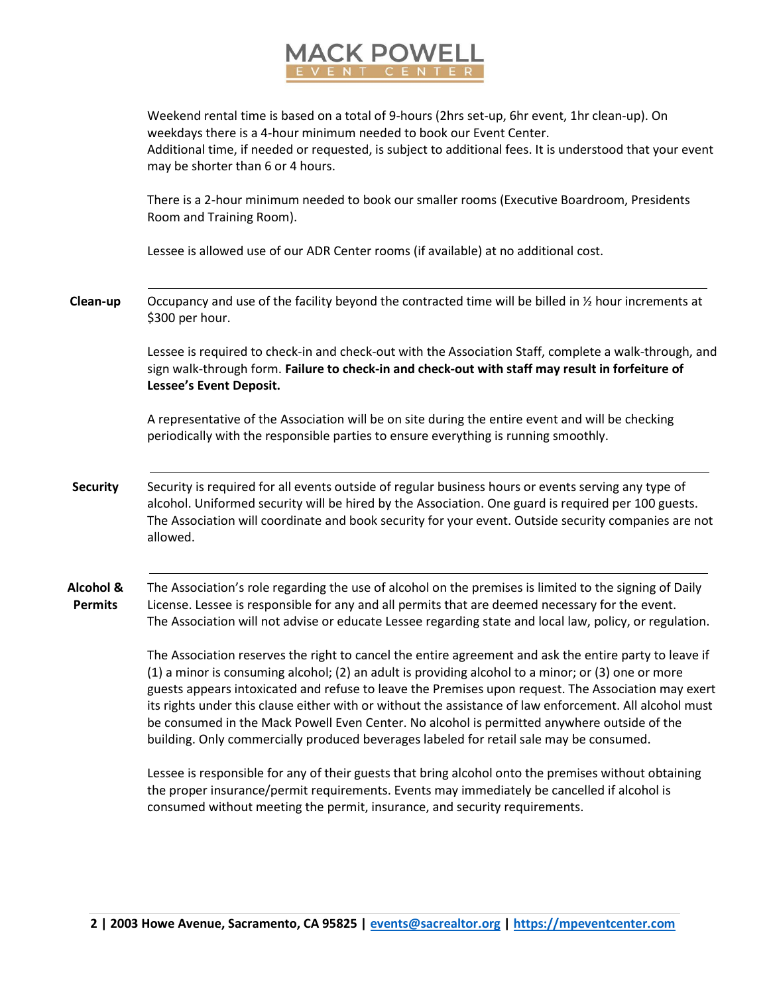

Weekend rental time is based on a total of 9-hours (2hrs set-up, 6hr event, 1hr clean-up). On weekdays there is a 4-hour minimum needed to book our Event Center. Additional time, if needed or requested, is subject to additional fees. It is understood that your event may be shorter than 6 or 4 hours.

There is a 2-hour minimum needed to book our smaller rooms (Executive Boardroom, Presidents Room and Training Room).

Lessee is allowed use of our ADR Center rooms (if available) at no additional cost.

**Clean-up** Occupancy and use of the facility beyond the contracted time will be billed in ½ hour increments at \$300 per hour.

> Lessee is required to check-in and check-out with the Association Staff, complete a walk-through, and sign walk-through form. **Failure to check-in and check-out with staff may result in forfeiture of Lessee's Event Deposit.**

A representative of the Association will be on site during the entire event and will be checking periodically with the responsible parties to ensure everything is running smoothly.

**Security** Security is required for all events outside of regular business hours or events serving any type of alcohol. Uniformed security will be hired by the Association. One guard is required per 100 guests. The Association will coordinate and book security for your event. Outside security companies are not allowed.

**Alcohol & Permits** The Association's role regarding the use of alcohol on the premises is limited to the signing of Daily License. Lessee is responsible for any and all permits that are deemed necessary for the event. The Association will not advise or educate Lessee regarding state and local law, policy, or regulation.

> The Association reserves the right to cancel the entire agreement and ask the entire party to leave if (1) a minor is consuming alcohol; (2) an adult is providing alcohol to a minor; or (3) one or more guests appears intoxicated and refuse to leave the Premises upon request. The Association may exert its rights under this clause either with or without the assistance of law enforcement. All alcohol must be consumed in the Mack Powell Even Center. No alcohol is permitted anywhere outside of the building. Only commercially produced beverages labeled for retail sale may be consumed.

Lessee is responsible for any of their guests that bring alcohol onto the premises without obtaining the proper insurance/permit requirements. Events may immediately be cancelled if alcohol is consumed without meeting the permit, insurance, and security requirements.